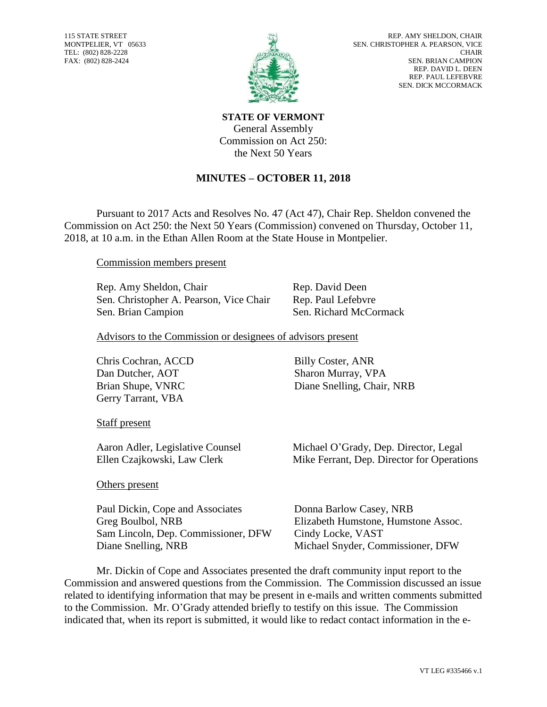115 STATE STREET MONTPELIER, VT 05633 TEL: (802) 828-2228 FAX: (802) 828-2424



**STATE OF VERMONT** General Assembly Commission on Act 250: the Next 50 Years

## **MINUTES – OCTOBER 11, 2018**

Pursuant to 2017 Acts and Resolves No. 47 (Act 47), Chair Rep. Sheldon convened the Commission on Act 250: the Next 50 Years (Commission) convened on Thursday, October 11, 2018, at 10 a.m. in the Ethan Allen Room at the State House in Montpelier.

Commission members present

Rep. Amy Sheldon, Chair Rep. David Deen Sen. Christopher A. Pearson, Vice Chair Rep. Paul Lefebvre Sen. Brian Campion Sen. Richard McCormack

Advisors to the Commission or designees of advisors present

Chris Cochran, ACCD Dan Dutcher, AOT Gerry Tarrant, VBA

Billy Coster, ANR Sharon Murray, VPA Brian Shupe, VNRC Diane Snelling, Chair, NRB

Staff present

Aaron Adler, Legislative Counsel Michael O'Grady, Dep. Director, Legal

Others present

Paul Dickin, Cope and Associates Greg Boulbol, NRB Sam Lincoln, Dep. Commissioner, DFW Cindy Locke, VAST

Ellen Czajkowski, Law Clerk Mike Ferrant, Dep. Director for Operations

Donna Barlow Casey, NRB Elizabeth Humstone, Humstone Assoc. Diane Snelling, NRB Michael Snyder, Commissioner, DFW

Mr. Dickin of Cope and Associates presented the draft community input report to the Commission and answered questions from the Commission. The Commission discussed an issue related to identifying information that may be present in e-mails and written comments submitted to the Commission. Mr. O'Grady attended briefly to testify on this issue. The Commission indicated that, when its report is submitted, it would like to redact contact information in the e